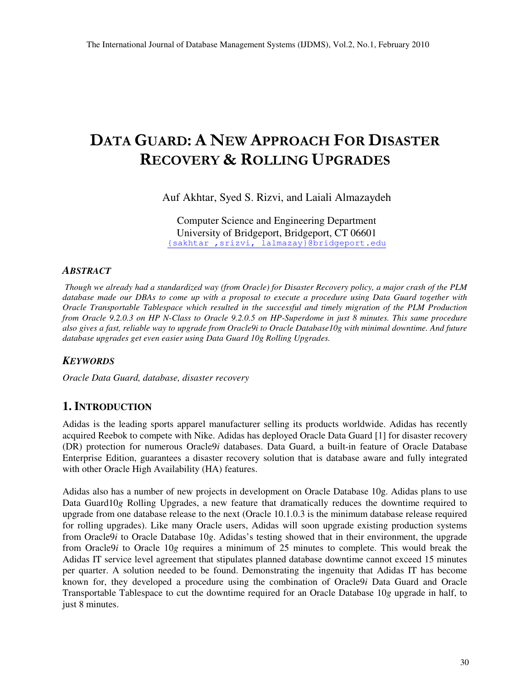# DATA GUARD: A NEW APPROACH FOR DISASTER **RECOVERY & ROLLING UPGRADES**

Auf Akhtar, Syed S. Rizvi, and Laiali Almazaydeh

Computer Science and Engineering Department University of Bridgeport, Bridgeport, CT 06601 {sakhtar ,srizvi, lalmazay}@bridgeport.edu

#### *ABSTRACT*

Though we already had a standardized way (from Oracle) for Disaster Recovery policy, a major crash of the PLM database made our DBAs to come up with a proposal to execute a procedure using Data Guard together with *Oracle Transportable Tablespace which resulted in the successful and timely migration of the PLM Production* from Oracle 9.2.0.3 on HP N-Class to Oracle 9.2.0.5 on HP-Superdome in just 8 minutes. This same procedure also gives a fast, reliable way to upgrade from Oracle9i to Oracle Database10g with minimal downtime. And future *database upgrades get even easier using Data Guard 10g Rolling Upgrades.*

#### *KEYWORDS*

*Oracle Data Guard, database, disaster recovery*

## **1. INTRODUCTION**

Adidas is the leading sports apparel manufacturer selling its products worldwide. Adidas has recently acquired Reebok to compete with Nike. Adidas has deployed Oracle Data Guard [1] for disaster recovery (DR) protection for numerous Oracle9*i* databases. Data Guard, a built-in feature of Oracle Database Enterprise Edition, guarantees a disaster recovery solution that is database aware and fully integrated with other Oracle High Availability (HA) features.

Adidas also has a number of new projects in development on Oracle Database 10g. Adidas plans to use Data Guard10*g* Rolling Upgrades, a new feature that dramatically reduces the downtime required to upgrade from one database release to the next (Oracle 10.1.0.3 is the minimum database release required for rolling upgrades). Like many Oracle users, Adidas will soon upgrade existing production systems from Oracle9*i* to Oracle Database 10*g*. Adidas's testing showed that in their environment, the upgrade from Oracle9*i* to Oracle 10*g* requires a minimum of 25 minutes to complete. This would break the Adidas IT service level agreement that stipulates planned database downtime cannot exceed 15 minutes per quarter. A solution needed to be found. Demonstrating the ingenuity that Adidas IT has become known for, they developed a procedure using the combination of Oracle9*i* Data Guard and Oracle Transportable Tablespace to cut the downtime required for an Oracle Database 10*g* upgrade in half, to just 8 minutes.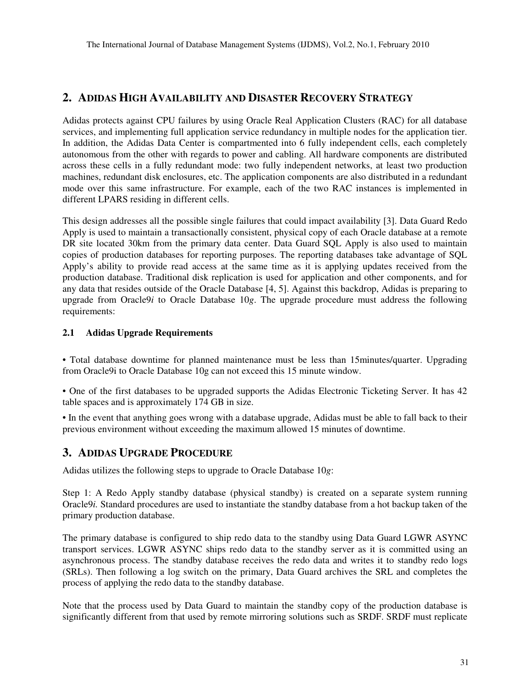## **2. ADIDAS HIGH AVAILABILITY AND DISASTER RECOVERY STRATEGY**

Adidas protects against CPU failures by using Oracle Real Application Clusters (RAC) for all database services, and implementing full application service redundancy in multiple nodes for the application tier. In addition, the Adidas Data Center is compartmented into 6 fully independent cells, each completely autonomous from the other with regards to power and cabling. All hardware components are distributed across these cells in a fully redundant mode: two fully independent networks, at least two production machines, redundant disk enclosures, etc. The application components are also distributed in a redundant mode over this same infrastructure. For example, each of the two RAC instances is implemented in different LPARS residing in different cells.

This design addresses all the possible single failures that could impact availability [3]. Data Guard Redo Apply is used to maintain a transactionally consistent, physical copy of each Oracle database at a remote DR site located 30km from the primary data center. Data Guard SQL Apply is also used to maintain copies of production databases for reporting purposes. The reporting databases take advantage of SQL Apply's ability to provide read access at the same time as it is applying updates received from the production database. Traditional disk replication is used for application and other components, and for any data that resides outside of the Oracle Database [4, 5]. Against this backdrop, Adidas is preparing to upgrade from Oracle9*i* to Oracle Database 10*g*. The upgrade procedure must address the following requirements:

#### **2.1 Adidas Upgrade Requirements**

• Total database downtime for planned maintenance must be less than 15minutes/quarter. Upgrading from Oracle9i to Oracle Database 10g can not exceed this 15 minute window.

• One of the first databases to be upgraded supports the Adidas Electronic Ticketing Server. It has 42 table spaces and is approximately 174 GB in size.

• In the event that anything goes wrong with a database upgrade, Adidas must be able to fall back to their previous environment without exceeding the maximum allowed 15 minutes of downtime.

## **3. ADIDAS UPGRADE PROCEDURE**

Adidas utilizes the following steps to upgrade to Oracle Database 10*g*:

Step 1: A Redo Apply standby database (physical standby) is created on a separate system running Oracle9*i.* Standard procedures are used to instantiate the standby database from a hot backup taken of the primary production database.

The primary database is configured to ship redo data to the standby using Data Guard LGWR ASYNC transport services. LGWR ASYNC ships redo data to the standby server as it is committed using an asynchronous process. The standby database receives the redo data and writes it to standby redo logs (SRLs). Then following a log switch on the primary, Data Guard archives the SRL and completes the process of applying the redo data to the standby database.

Note that the process used by Data Guard to maintain the standby copy of the production database is significantly different from that used by remote mirroring solutions such as SRDF. SRDF must replicate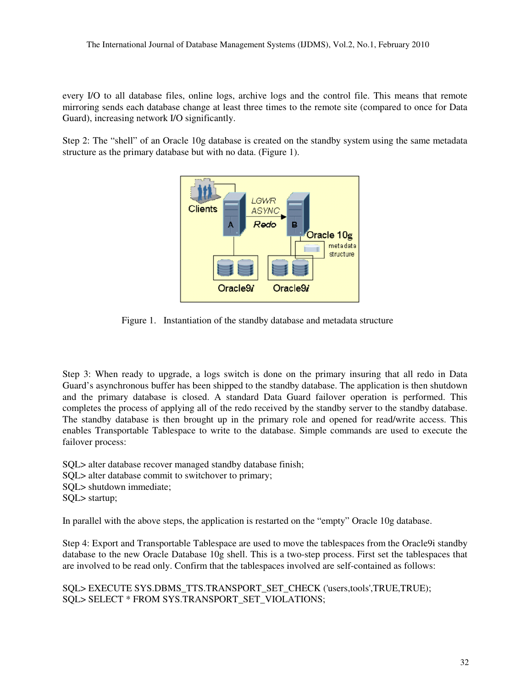every I/O to all database files, online logs, archive logs and the control file. This means that remote mirroring sends each database change at least three times to the remote site (compared to once for Data Guard), increasing network I/O significantly.

Step 2: The "shell" of an Oracle 10g database is created on the standby system using the same metadata structure as the primary database but with no data. (Figure 1).



Figure 1. Instantiation of the standby database and metadata structure

Step 3: When ready to upgrade, a logs switch is done on the primary insuring that all redo in Data Guard's asynchronous buffer has been shipped to the standby database. The application is then shutdown and the primary database is closed. A standard Data Guard failover operation is performed. This completes the process of applying all of the redo received by the standby server to the standby database. The standby database is then brought up in the primary role and opened for read/write access. This enables Transportable Tablespace to write to the database. Simple commands are used to execute the failover process:

SQL> alter database recover managed standby database finish; SQL> alter database commit to switchover to primary; SQL> shutdown immediate; SQL> startup;

In parallel with the above steps, the application is restarted on the "empty" Oracle 10g database.

Step 4: Export and Transportable Tablespace are used to move the tablespaces from the Oracle9i standby database to the new Oracle Database 10g shell. This is a two-step process. First set the tablespaces that are involved to be read only. Confirm that the tablespaces involved are self-contained as follows:

SQL> EXECUTE SYS.DBMS\_TTS.TRANSPORT\_SET\_CHECK ('users,tools',TRUE,TRUE); SQL> SELECT \* FROM SYS.TRANSPORT\_SET\_VIOLATIONS;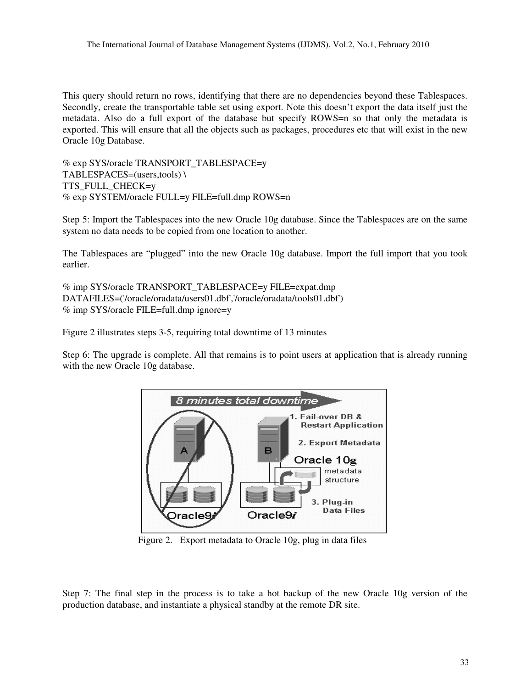This query should return no rows, identifying that there are no dependencies beyond these Tablespaces. Secondly, create the transportable table set using export. Note this doesn't export the data itself just the metadata. Also do a full export of the database but specify ROWS=n so that only the metadata is exported. This will ensure that all the objects such as packages, procedures etc that will exist in the new Oracle 10g Database.

% exp SYS/oracle TRANSPORT\_TABLESPACE=y TABLESPACES=(users,tools) \ TTS\_FULL\_CHECK=y % exp SYSTEM/oracle FULL=y FILE=full.dmp ROWS=n

Step 5: Import the Tablespaces into the new Oracle 10g database. Since the Tablespaces are on the same system no data needs to be copied from one location to another.

The Tablespaces are "plugged" into the new Oracle 10g database. Import the full import that you took earlier.

```
% imp SYS/oracle TRANSPORT_TABLESPACE=y FILE=expat.dmp
DATAFILES=('/oracle/oradata/users01.dbf','/oracle/oradata/tools01.dbf')
% imp SYS/oracle FILE=full.dmp ignore=y
```
Figure 2 illustrates steps 3-5, requiring total downtime of 13 minutes

Step 6: The upgrade is complete. All that remains is to point users at application that is already running with the new Oracle 10g database.



Figure 2. Export metadata to Oracle 10g, plug in data files

Step 7: The final step in the process is to take a hot backup of the new Oracle 10g version of the production database, and instantiate a physical standby at the remote DR site.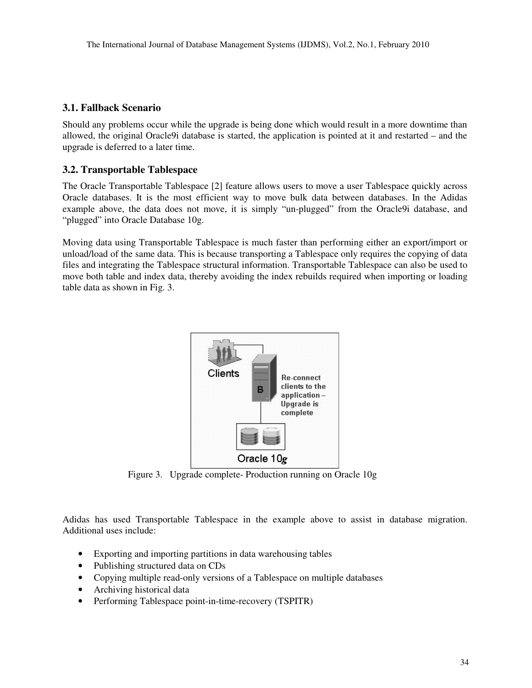#### **3.1. Fallback Scenario**

Should any problems occur while the upgrade is being done which would result in a more downtime than allowed, the original Oracle9i database is started, the application is pointed at it and restarted – and the upgrade is deferred to a later time.

#### **3.2. Transportable Tablespace**

The Oracle Transportable Tablespace [2] feature allows users to move a user Tablespace quickly across Oracle databases. It is the most efficient way to move bulk data between databases. In the Adidas example above, the data does not move, it is simply "un-plugged" from the Oracle9i database, and "plugged" into Oracle Database 10g.

Moving data using Transportable Tablespace is much faster than performing either an export/import or unload/load of the same data. This is because transporting a Tablespace only requires the copying of data files and integrating the Tablespace structural information. Transportable Tablespace can also be used to move both table and index data, thereby avoiding the index rebuilds required when importing or loading table data as shown in Fig. 3.



Figure 3. Upgrade complete- Production running on Oracle 10g

Adidas has used Transportable Tablespace in the example above to assist in database migration. Additional uses include:

- Exporting and importing partitions in data warehousing tables
- Publishing structured data on CDs
- Copying multiple read-only versions of a Tablespace on multiple databases
- Archiving historical data
- Performing Tablespace point-in-time-recovery (TSPITR)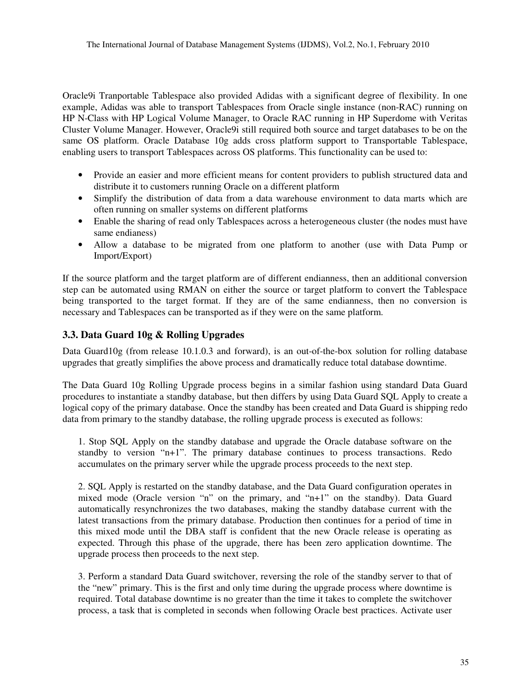Oracle9i Tranportable Tablespace also provided Adidas with a significant degree of flexibility. In one example, Adidas was able to transport Tablespaces from Oracle single instance (non-RAC) running on HP N-Class with HP Logical Volume Manager, to Oracle RAC running in HP Superdome with Veritas Cluster Volume Manager. However, Oracle9i still required both source and target databases to be on the same OS platform. Oracle Database 10g adds cross platform support to Transportable Tablespace, enabling users to transport Tablespaces across OS platforms. This functionality can be used to:

- Provide an easier and more efficient means for content providers to publish structured data and distribute it to customers running Oracle on a different platform
- Simplify the distribution of data from a data warehouse environment to data marts which are often running on smaller systems on different platforms
- Enable the sharing of read only Tablespaces across a heterogeneous cluster (the nodes must have same endianess)
- Allow a database to be migrated from one platform to another (use with Data Pump or Import/Export)

If the source platform and the target platform are of different endianness, then an additional conversion step can be automated using RMAN on either the source or target platform to convert the Tablespace being transported to the target format. If they are of the same endianness, then no conversion is necessary and Tablespaces can be transported as if they were on the same platform.

### **3.3. Data Guard 10g & Rolling Upgrades**

Data Guard10g (from release 10.1.0.3 and forward), is an out-of-the-box solution for rolling database upgrades that greatly simplifies the above process and dramatically reduce total database downtime.

The Data Guard 10g Rolling Upgrade process begins in a similar fashion using standard Data Guard procedures to instantiate a standby database, but then differs by using Data Guard SQL Apply to create a logical copy of the primary database. Once the standby has been created and Data Guard is shipping redo data from primary to the standby database, the rolling upgrade process is executed as follows:

1. Stop SQL Apply on the standby database and upgrade the Oracle database software on the standby to version "n+1". The primary database continues to process transactions. Redo accumulates on the primary server while the upgrade process proceeds to the next step.

2. SQL Apply is restarted on the standby database, and the Data Guard configuration operates in mixed mode (Oracle version "n" on the primary, and "n+1" on the standby). Data Guard automatically resynchronizes the two databases, making the standby database current with the latest transactions from the primary database. Production then continues for a period of time in this mixed mode until the DBA staff is confident that the new Oracle release is operating as expected. Through this phase of the upgrade, there has been zero application downtime. The upgrade process then proceeds to the next step.

3. Perform a standard Data Guard switchover, reversing the role of the standby server to that of the "new" primary. This is the first and only time during the upgrade process where downtime is required. Total database downtime is no greater than the time it takes to complete the switchover process, a task that is completed in seconds when following Oracle best practices. Activate user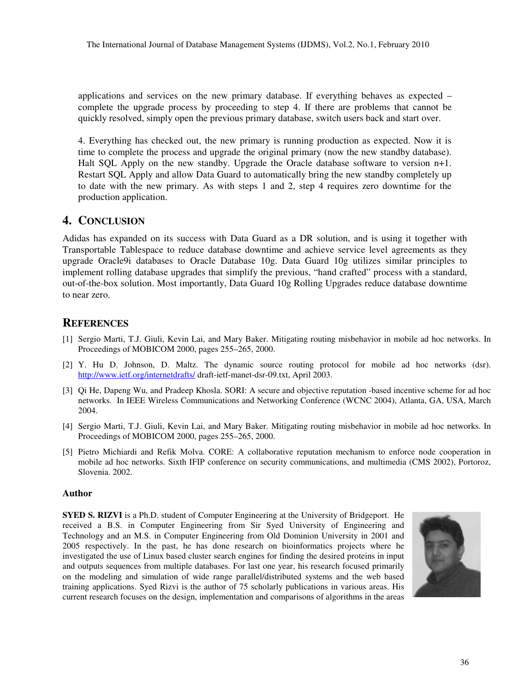applications and services on the new primary database. If everything behaves as expected – complete the upgrade process by proceeding to step 4. If there are problems that cannot be quickly resolved, simply open the previous primary database, switch users back and start over.

4. Everything has checked out, the new primary is running production as expected. Now it is time to complete the process and upgrade the original primary (now the new standby database). Halt SQL Apply on the new standby. Upgrade the Oracle database software to version n+1. Restart SQL Apply and allow Data Guard to automatically bring the new standby completely up to date with the new primary. As with steps 1 and 2, step 4 requires zero downtime for the production application.

#### **4. CONCLUSION**

Adidas has expanded on its success with Data Guard as a DR solution, and is using it together with Transportable Tablespace to reduce database downtime and achieve service level agreements as they upgrade Oracle9i databases to Oracle Database 10g. Data Guard 10g utilizes similar principles to implement rolling database upgrades that simplify the previous, "hand crafted" process with a standard, out-of-the-box solution. Most importantly, Data Guard 10g Rolling Upgrades reduce database downtime to near zero.

## **REFERENCES**

- [1] Sergio Marti, T.J. Giuli, Kevin Lai, and Mary Baker. Mitigating routing misbehavior in mobile ad hoc networks. In Proceedings of MOBICOM 2000, pages 255–265, 2000.
- [2] Y. Hu D. Johnson, D. Maltz. The dynamic source routing protocol for mobile ad hoc networks (dsr). http://www.ietf.org/internetdrafts/ draft-ietf-manet-dsr-09.txt, April 2003.
- [3] Qi He, Dapeng Wu, and Pradeep Khosla. SORI: A secure and objective reputation -based incentive scheme for ad hoc networks. In IEEE Wireless Communications and Networking Conference (WCNC 2004), Atlanta, GA, USA, March 2004.
- [4] Sergio Marti, T.J. Giuli, Kevin Lai, and Mary Baker. Mitigating routing misbehavior in mobile ad hoc networks. In Proceedings of MOBICOM 2000, pages 255–265, 2000.
- [5] Pietro Michiardi and Refik Molva. CORE: A collaborative reputation mechanism to enforce node cooperation in mobile ad hoc networks. Sixth IFIP conference on security communications, and multimedia (CMS 2002), Portoroz, Slovenia. 2002.

#### **Author**

**SYED S. RIZVI** is a Ph.D. student of Computer Engineering at the University of Bridgeport. He received a B.S. in Computer Engineering from Sir Syed University of Engineering and Technology and an M.S. in Computer Engineering from Old Dominion University in 2001 and 2005 respectively. In the past, he has done research on bioinformatics projects where he investigated the use of Linux based cluster search engines for finding the desired proteins in input and outputs sequences from multiple databases. For last one year, his research focused primarily on the modeling and simulation of wide range parallel/distributed systems and the web based training applications. Syed Rizvi is the author of 75 scholarly publications in various areas. His current research focuses on the design, implementation and comparisons of algorithms in the areas